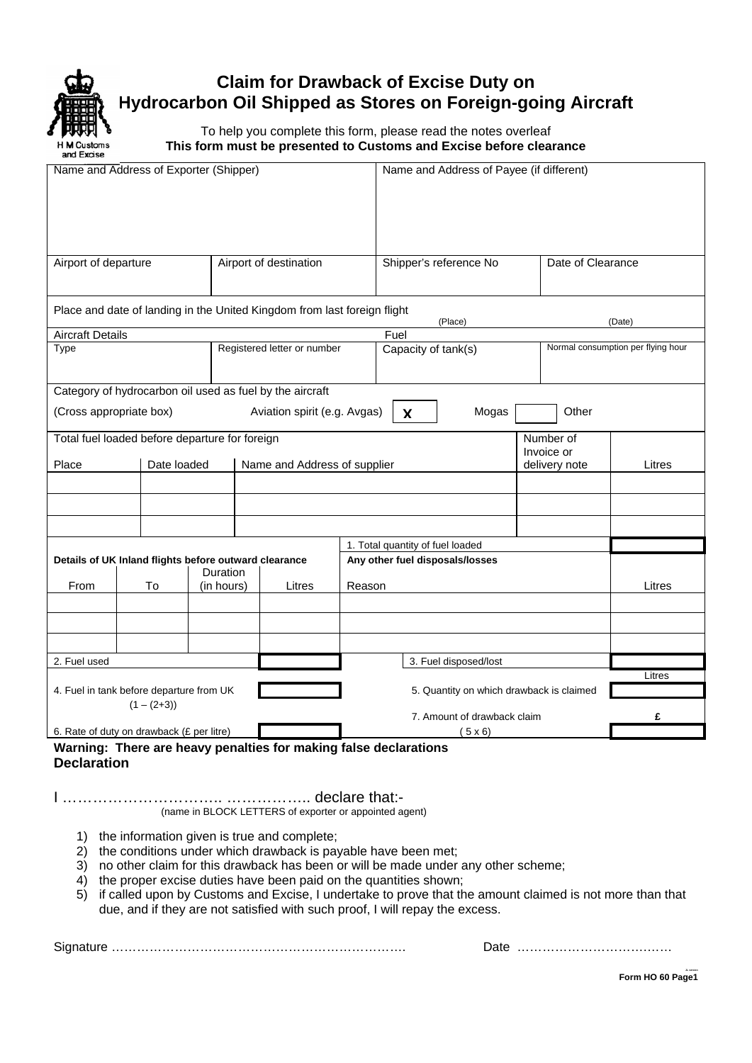

# **Claim for Drawback of Excise Duty on Hydrocarbon Oil Shipped as Stores on Foreign-going Aircraft**

To help you complete this form, please read the notes overleaf **This form must be presented to Customs and Excise before clearance** 

| Name and Address of Exporter (Shipper)                |             |            |  |                                                                          |        |                                  |                                          | Name and Address of Payee (if different) |                                    |  |  |  |  |  |
|-------------------------------------------------------|-------------|------------|--|--------------------------------------------------------------------------|--------|----------------------------------|------------------------------------------|------------------------------------------|------------------------------------|--|--|--|--|--|
| Airport of departure                                  |             |            |  | Airport of destination                                                   |        |                                  | Shipper's reference No                   | Date of Clearance                        |                                    |  |  |  |  |  |
|                                                       |             |            |  | Place and date of landing in the United Kingdom from last foreign flight |        |                                  |                                          | (Date)                                   |                                    |  |  |  |  |  |
| <b>Aircraft Details</b>                               |             |            |  |                                                                          |        | Fuel                             | (Place)                                  |                                          |                                    |  |  |  |  |  |
| Type                                                  |             |            |  | Registered letter or number                                              |        | Capacity of tank(s)              |                                          |                                          | Normal consumption per flying hour |  |  |  |  |  |
|                                                       |             |            |  | Category of hydrocarbon oil used as fuel by the aircraft                 |        |                                  |                                          |                                          |                                    |  |  |  |  |  |
| (Cross appropriate box)                               |             |            |  | Aviation spirit (e.g. Avgas)                                             |        | X                                | Mogas                                    | Other                                    |                                    |  |  |  |  |  |
| Total fuel loaded before departure for foreign        |             |            |  |                                                                          |        |                                  | Number of<br>Invoice or                  |                                          |                                    |  |  |  |  |  |
| Place                                                 | Date loaded |            |  | Name and Address of supplier                                             |        |                                  |                                          | delivery note                            | Litres                             |  |  |  |  |  |
|                                                       |             |            |  |                                                                          |        |                                  |                                          |                                          |                                    |  |  |  |  |  |
|                                                       |             |            |  |                                                                          |        |                                  |                                          |                                          |                                    |  |  |  |  |  |
|                                                       |             |            |  |                                                                          |        | 1. Total quantity of fuel loaded |                                          |                                          |                                    |  |  |  |  |  |
| Details of UK Inland flights before outward clearance |             | Duration   |  |                                                                          |        | Any other fuel disposals/losses  |                                          |                                          |                                    |  |  |  |  |  |
| From                                                  | To          | (in hours) |  | Litres                                                                   | Reason |                                  |                                          | Litres                                   |                                    |  |  |  |  |  |
|                                                       |             |            |  |                                                                          |        |                                  |                                          |                                          |                                    |  |  |  |  |  |
|                                                       |             |            |  |                                                                          |        |                                  |                                          |                                          |                                    |  |  |  |  |  |
|                                                       |             |            |  |                                                                          |        |                                  |                                          |                                          |                                    |  |  |  |  |  |
| 2. Fuel used                                          |             |            |  |                                                                          |        |                                  | 3. Fuel disposed/lost                    |                                          |                                    |  |  |  |  |  |
| 4. Fuel in tank before departure from UK              |             |            |  |                                                                          |        |                                  | 5. Quantity on which drawback is claimed | Litres                                   |                                    |  |  |  |  |  |
| $(1 - (2+3))$                                         |             |            |  |                                                                          |        | 7. Amount of drawback claim      |                                          | £                                        |                                    |  |  |  |  |  |
| 6. Rate of duty on drawback (£ per litre)             |             |            |  |                                                                          |        |                                  |                                          |                                          |                                    |  |  |  |  |  |
|                                                       |             |            |  | Warning: There are heavy penalties for making false declarations         |        |                                  | (5x6)                                    |                                          |                                    |  |  |  |  |  |

**Declaration** 

I ………………………….. …………….. declare that:- (name in BLOCK LETTERS of exporter or appointed agent)

- 1) the information given is true and complete;
- 2) the conditions under which drawback is payable have been met;
- 3) no other claim for this drawback has been or will be made under any other scheme;
- 4) the proper excise duties have been paid on the quantities shown;
- 5) if called upon by Customs and Excise, I undertake to prove that the amount claimed is not more than that due, and if they are not satisfied with such proof, I will repay the excess.

Signature ……………………………………………………………. Date ………………………….……

**Form HO 60 Page1**